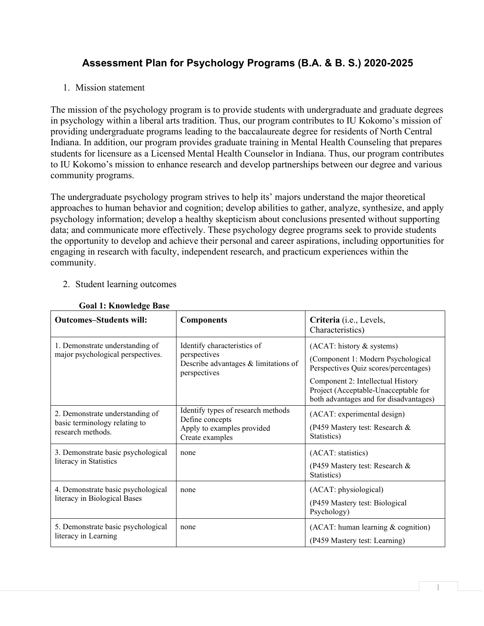# **Assessment Plan for Psychology Programs (B.A. & B. S.) 2020-2025**

#### 1. Mission statement

The mission of the psychology program is to provide students with undergraduate and graduate degrees in psychology within a liberal arts tradition. Thus, our program contributes to IU Kokomo's mission of providing undergraduate programs leading to the baccalaureate degree for residents of North Central Indiana. In addition, our program provides graduate training in Mental Health Counseling that prepares students for licensure as a Licensed Mental Health Counselor in Indiana. Thus, our program contributes to IU Kokomo's mission to enhance research and develop partnerships between our degree and various community programs.

The undergraduate psychology program strives to help its' majors understand the major theoretical approaches to human behavior and cognition; develop abilities to gather, analyze, synthesize, and apply psychology information; develop a healthy skepticism about conclusions presented without supporting data; and communicate more effectively. These psychology degree programs seek to provide students the opportunity to develop and achieve their personal and career aspirations, including opportunities for engaging in research with faculty, independent research, and practicum experiences within the community.

### 2. Student learning outcomes

| <b>Outcomes-Students will:</b>                                                        | <b>Components</b>                                                                                      | Criteria (i.e., Levels,<br>Characteristics)                                                                                                                                                                                     |
|---------------------------------------------------------------------------------------|--------------------------------------------------------------------------------------------------------|---------------------------------------------------------------------------------------------------------------------------------------------------------------------------------------------------------------------------------|
| 1. Demonstrate understanding of<br>major psychological perspectives.                  | Identify characteristics of<br>perspectives<br>Describe advantages & limitations of<br>perspectives    | (ACAT: history & systems)<br>(Component 1: Modern Psychological<br>Perspectives Quiz scores/percentages)<br>Component 2: Intellectual History<br>Project (Acceptable-Unacceptable for<br>both advantages and for disadvantages) |
| 2. Demonstrate understanding of<br>basic terminology relating to<br>research methods. | Identify types of research methods<br>Define concepts<br>Apply to examples provided<br>Create examples | (ACAT: experimental design)<br>(P459 Mastery test: Research &<br>Statistics)                                                                                                                                                    |
| 3. Demonstrate basic psychological<br>literacy in Statistics                          | none                                                                                                   | (ACAT: statistics)<br>(P459 Mastery test: Research &<br>Statistics)                                                                                                                                                             |
| 4. Demonstrate basic psychological<br>literacy in Biological Bases                    | none                                                                                                   | (ACAT: physiological)<br>(P459 Mastery test: Biological<br>Psychology)                                                                                                                                                          |
| 5. Demonstrate basic psychological<br>literacy in Learning                            | none                                                                                                   | $(ACAT: human learning & cognition)$<br>(P459 Mastery test: Learning)                                                                                                                                                           |

# **Goal 1: Knowledge Base**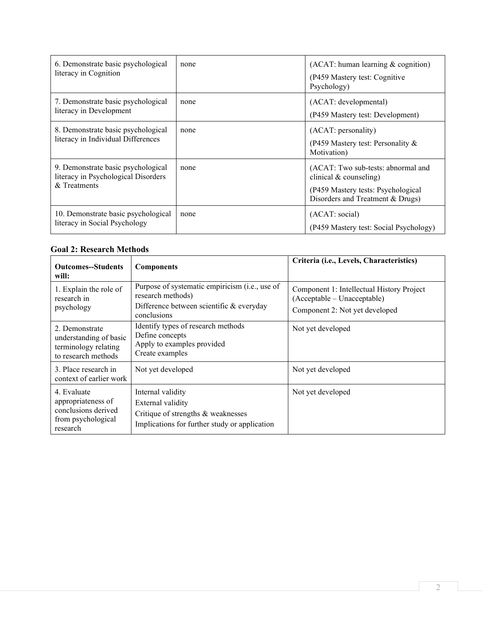| 6. Demonstrate basic psychological<br>literacy in Cognition                               | none | $(ACAT: human learning & cognition)$<br>(P459 Mastery test: Cognitive<br>Psychology)                                                     |
|-------------------------------------------------------------------------------------------|------|------------------------------------------------------------------------------------------------------------------------------------------|
| 7. Demonstrate basic psychological<br>literacy in Development                             | none | (ACAT: developmental)<br>(P459 Mastery test: Development)                                                                                |
| 8. Demonstrate basic psychological<br>literacy in Individual Differences                  | none | (ACAT: personality)<br>(P459 Mastery test: Personality $\&$<br>Motivation)                                                               |
| 9. Demonstrate basic psychological<br>literacy in Psychological Disorders<br>& Treatments | none | (ACAT: Two sub-tests: abnormal and<br>clinical $&$ counseling)<br>(P459 Mastery tests: Psychological<br>Disorders and Treatment & Drugs) |
| 10. Demonstrate basic psychological<br>literacy in Social Psychology                      | none | (ACAT: social)<br>(P459 Mastery test: Social Psychology)                                                                                 |

#### **Goal 2: Research Methods**

| <b>Outcomes--Students</b><br>will:                                                         | <b>Components</b>                                                                                                                | Criteria (i.e., Levels, Characteristics)                                                                   |
|--------------------------------------------------------------------------------------------|----------------------------------------------------------------------------------------------------------------------------------|------------------------------------------------------------------------------------------------------------|
| 1. Explain the role of<br>research in<br>psychology                                        | Purpose of systematic empiricism (i.e., use of<br>research methods)<br>Difference between scientific $&$ everyday<br>conclusions | Component 1: Intellectual History Project<br>(Acceptable – Unacceptable)<br>Component 2: Not yet developed |
| 2. Demonstrate<br>understanding of basic<br>terminology relating<br>to research methods    | Identify types of research methods<br>Define concepts<br>Apply to examples provided<br>Create examples                           | Not yet developed                                                                                          |
| 3. Place research in<br>context of earlier work                                            | Not yet developed                                                                                                                | Not yet developed                                                                                          |
| 4. Evaluate<br>appropriateness of<br>conclusions derived<br>from psychological<br>research | Internal validity<br>External validity<br>Critique of strengths & weaknesses<br>Implications for further study or application    | Not yet developed                                                                                          |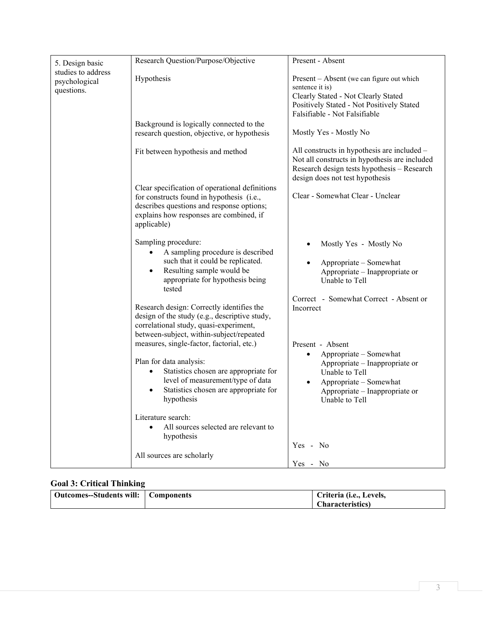| 5. Design basic                                   | Research Question/Purpose/Objective                                                                                                                                                                                                                                                                                                                                                                                                                                                                                                                                                    | Present - Absent                                                                                                                                                                                                                                                                                                                            |
|---------------------------------------------------|----------------------------------------------------------------------------------------------------------------------------------------------------------------------------------------------------------------------------------------------------------------------------------------------------------------------------------------------------------------------------------------------------------------------------------------------------------------------------------------------------------------------------------------------------------------------------------------|---------------------------------------------------------------------------------------------------------------------------------------------------------------------------------------------------------------------------------------------------------------------------------------------------------------------------------------------|
| studies to address<br>psychological<br>questions. | Hypothesis                                                                                                                                                                                                                                                                                                                                                                                                                                                                                                                                                                             | Present - Absent (we can figure out which<br>sentence it is)<br>Clearly Stated - Not Clearly Stated<br>Positively Stated - Not Positively Stated<br>Falsifiable - Not Falsifiable                                                                                                                                                           |
|                                                   | Background is logically connected to the<br>research question, objective, or hypothesis                                                                                                                                                                                                                                                                                                                                                                                                                                                                                                | Mostly Yes - Mostly No                                                                                                                                                                                                                                                                                                                      |
|                                                   | Fit between hypothesis and method                                                                                                                                                                                                                                                                                                                                                                                                                                                                                                                                                      | All constructs in hypothesis are included -<br>Not all constructs in hypothesis are included<br>Research design tests hypothesis - Research<br>design does not test hypothesis                                                                                                                                                              |
|                                                   | Clear specification of operational definitions<br>for constructs found in hypothesis (i.e.,<br>describes questions and response options;<br>explains how responses are combined, if<br>applicable)                                                                                                                                                                                                                                                                                                                                                                                     | Clear - Somewhat Clear - Unclear                                                                                                                                                                                                                                                                                                            |
|                                                   | Sampling procedure:<br>A sampling procedure is described<br>such that it could be replicated.<br>Resulting sample would be<br>$\bullet$<br>appropriate for hypothesis being<br>tested<br>Research design: Correctly identifies the<br>design of the study (e.g., descriptive study,<br>correlational study, quasi-experiment,<br>between-subject, within-subject/repeated<br>measures, single-factor, factorial, etc.)<br>Plan for data analysis:<br>Statistics chosen are appropriate for<br>level of measurement/type of data<br>Statistics chosen are appropriate for<br>hypothesis | Mostly Yes - Mostly No<br>Appropriate - Somewhat<br>Appropriate - Inappropriate or<br>Unable to Tell<br>Correct - Somewhat Correct - Absent or<br>Incorrect<br>Present - Absent<br>Appropriate - Somewhat<br>Appropriate - Inappropriate or<br>Unable to Tell<br>Appropriate - Somewhat<br>Appropriate – Inappropriate or<br>Unable to Tell |
|                                                   | Literature search:<br>All sources selected are relevant to<br>hypothesis                                                                                                                                                                                                                                                                                                                                                                                                                                                                                                               | Yes - No                                                                                                                                                                                                                                                                                                                                    |
|                                                   | All sources are scholarly                                                                                                                                                                                                                                                                                                                                                                                                                                                                                                                                                              | Yes - No                                                                                                                                                                                                                                                                                                                                    |

# **Goal 3: Critical Thinking**

| Outcomes--Students will:   Components | Criteria (i.e., Levels,  |
|---------------------------------------|--------------------------|
|                                       | <b>Characteristics</b> ) |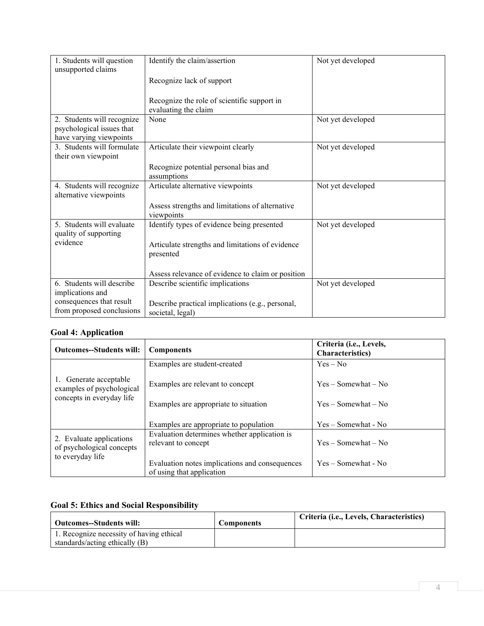| 1. Students will question<br>unsupported claims                                    | Identify the claim/assertion                                         | Not yet developed |
|------------------------------------------------------------------------------------|----------------------------------------------------------------------|-------------------|
|                                                                                    | Recognize lack of support                                            |                   |
|                                                                                    | Recognize the role of scientific support in<br>evaluating the claim  |                   |
| 2. Students will recognize<br>psychological issues that<br>have varying viewpoints | None                                                                 | Not yet developed |
| 3. Students will formulate<br>their own viewpoint                                  | Articulate their viewpoint clearly                                   | Not yet developed |
|                                                                                    | Recognize potential personal bias and<br>assumptions                 |                   |
| 4. Students will recognize<br>alternative viewpoints                               | Articulate alternative viewpoints                                    | Not yet developed |
|                                                                                    | Assess strengths and limitations of alternative<br>viewpoints        |                   |
| 5. Students will evaluate<br>quality of supporting                                 | Identify types of evidence being presented                           | Not yet developed |
| evidence                                                                           | Articulate strengths and limitations of evidence<br>presented        |                   |
|                                                                                    | Assess relevance of evidence to claim or position                    |                   |
| 6. Students will describe<br>implications and                                      | Describe scientific implications                                     | Not yet developed |
| consequences that result<br>from proposed conclusions                              | Describe practical implications (e.g., personal,<br>societal, legal) |                   |

#### **Goal 4: Application**

| <b>Outcomes--Students will:</b>                                                  | <b>Components</b>                                                           | Criteria ( <i>i.e.</i> , Levels,<br><b>Characteristics</b> ) |
|----------------------------------------------------------------------------------|-----------------------------------------------------------------------------|--------------------------------------------------------------|
|                                                                                  | Examples are student-created                                                | $Yes - No$                                                   |
| 1. Generate acceptable<br>examples of psychological<br>concepts in everyday life | Examples are relevant to concept<br>Examples are appropriate to situation   | $Yes - Somewhat - No$<br>$Yes - Somewhat - No$               |
|                                                                                  | Examples are appropriate to population                                      | $Yes - Somewhat - No$                                        |
| 2. Evaluate applications<br>of psychological concepts<br>to everyday life        | Evaluation determines whether application is<br>relevant to concept         | $Yes - Somewhat - No$                                        |
|                                                                                  | Evaluation notes implications and consequences<br>of using that application | Yes – Somewhat - No                                          |

# **Goal 5: Ethics and Social Responsibility**

| Outcomes--Students will:                 | <b>Components</b> | Criteria (i.e., Levels, Characteristics) |
|------------------------------------------|-------------------|------------------------------------------|
| 1. Recognize necessity of having ethical |                   |                                          |
| standards/acting ethically (B)           |                   |                                          |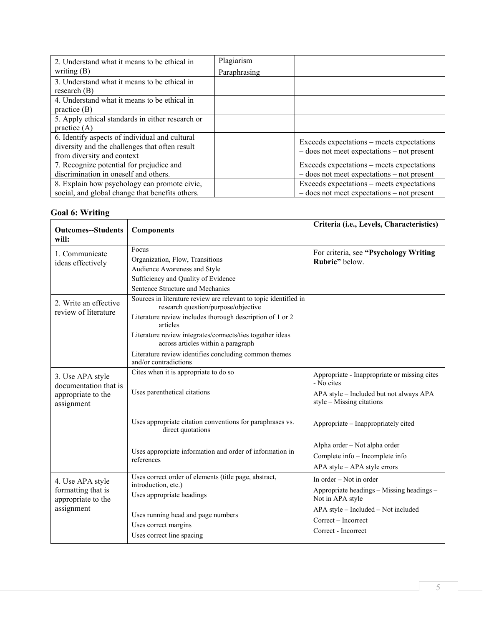| 2. Understand what it means to be ethical in     | Plagiarism   |                                                           |
|--------------------------------------------------|--------------|-----------------------------------------------------------|
| writing $(B)$                                    | Paraphrasing |                                                           |
| 3. Understand what it means to be ethical in     |              |                                                           |
| research $(B)$                                   |              |                                                           |
| 4. Understand what it means to be ethical in     |              |                                                           |
| practice $(B)$                                   |              |                                                           |
| 5. Apply ethical standards in either research or |              |                                                           |
| practice $(A)$                                   |              |                                                           |
| 6. Identify aspects of individual and cultural   |              | Exceeds expectations – meets expectations                 |
| diversity and the challenges that often result   |              | $-$ does not meet expectations $-$ not present            |
| from diversity and context                       |              |                                                           |
| 7. Recognize potential for prejudice and         |              | Exceeds expectations – meets expectations                 |
| discrimination in oneself and others.            |              | $-$ does not meet expectations $-$ not present            |
| 8. Explain how psychology can promote civic,     |              | Exceeds expectations – meets expectations                 |
| social, and global change that benefits others.  |              | $-\text{does not meet expectations} - \text{not present}$ |

### **Goal 6: Writing**

| <b>Outcomes--Students</b><br>will:                                            | <b>Components</b>                                                                                                                                                                                                                                                                                                                                                     | Criteria (i.e., Levels, Characteristics)                                                                                             |
|-------------------------------------------------------------------------------|-----------------------------------------------------------------------------------------------------------------------------------------------------------------------------------------------------------------------------------------------------------------------------------------------------------------------------------------------------------------------|--------------------------------------------------------------------------------------------------------------------------------------|
| 1. Communicate<br>ideas effectively                                           | Focus<br>Organization, Flow, Transitions<br>Audience Awareness and Style<br>Sufficiency and Quality of Evidence<br>Sentence Structure and Mechanics                                                                                                                                                                                                                   | For criteria, see "Psychology Writing<br>Rubric" below.                                                                              |
| 2. Write an effective<br>review of literature                                 | Sources in literature review are relevant to topic identified in<br>research question/purpose/objective<br>Literature review includes thorough description of 1 or 2<br>articles<br>Literature review integrates/connects/ties together ideas<br>across articles within a paragraph<br>Literature review identifies concluding common themes<br>and/or contradictions |                                                                                                                                      |
| 3. Use APA style<br>documentation that is<br>appropriate to the<br>assignment | Cites when it is appropriate to do so<br>Uses parenthetical citations                                                                                                                                                                                                                                                                                                 | Appropriate - Inappropriate or missing cites<br>- No cites<br>APA style - Included but not always APA<br>$style -$ Missing citations |
|                                                                               | Uses appropriate citation conventions for paraphrases vs.<br>direct quotations                                                                                                                                                                                                                                                                                        | Appropriate – Inappropriately cited                                                                                                  |
|                                                                               | Uses appropriate information and order of information in<br>references                                                                                                                                                                                                                                                                                                | Alpha order - Not alpha order<br>Complete info - Incomplete info<br>APA style - APA style errors                                     |
| 4. Use APA style<br>formatting that is<br>appropriate to the<br>assignment    | Uses correct order of elements (title page, abstract,<br>introduction, etc.)<br>Uses appropriate headings<br>Uses running head and page numbers                                                                                                                                                                                                                       | In order – Not in order<br>Appropriate headings - Missing headings -<br>Not in APA style<br>APA style - Included - Not included      |
|                                                                               | Uses correct margins<br>Uses correct line spacing                                                                                                                                                                                                                                                                                                                     | Correct - Incorrect<br>Correct - Incorrect                                                                                           |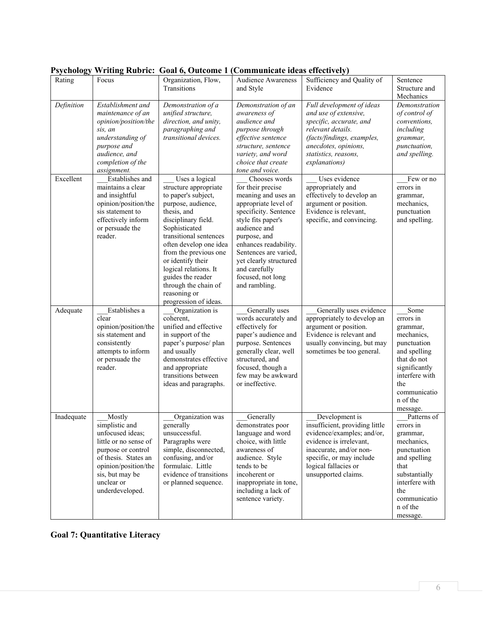|            |                       | $\sim$ acco             |                           |                                |                |
|------------|-----------------------|-------------------------|---------------------------|--------------------------------|----------------|
| Rating     | Focus                 | Organization, Flow,     | <b>Audience Awareness</b> | Sufficiency and Quality of     | Sentence       |
|            |                       | Transitions             | and Style                 | Evidence                       | Structure and  |
|            |                       |                         |                           |                                | Mechanics      |
| Definition | Establishment and     | Demonstration of a      | Demonstration of an       | Full development of ideas      | Demonstration  |
|            | maintenance of an     | unified structure,      | awareness of              | and use of extensive,          | of control of  |
|            | opinion/position/the  | direction, and unity,   | audience and              | specific, accurate, and        | conventions.   |
|            | sis. an               | paragraphing and        | purpose through           | relevant details.              | including      |
|            | understanding of      | transitional devices.   | effective sentence        | (facts/findings, examples,     | grammar,       |
|            | purpose and           |                         | structure, sentence       | anecdotes, opinions,           | punctuation,   |
|            | audience, and         |                         | variety, and word         | statistics, reasons,           | and spelling.  |
|            | completion of the     |                         | choice that create        | explanations)                  |                |
|            | assignment.           |                         | tone and voice.           |                                |                |
| Excellent  | Establishes and       | Uses a logical          | Chooses words             | Uses evidence                  | Few or no      |
|            | maintains a clear     | structure appropriate   | for their precise         | appropriately and              | errors in      |
|            |                       | to paper's subject,     |                           | effectively to develop an      |                |
|            | and insightful        |                         | meaning and uses an       |                                | grammar,       |
|            | opinion/position/the  | purpose, audience,      | appropriate level of      | argument or position.          | mechanics,     |
|            | sis statement to      | thesis, and             | specificity. Sentence     | Evidence is relevant,          | punctuation    |
|            | effectively inform    | disciplinary field.     | style fits paper's        | specific, and convincing.      | and spelling.  |
|            | or persuade the       | Sophisticated           | audience and              |                                |                |
|            | reader.               | transitional sentences  | purpose, and              |                                |                |
|            |                       | often develop one idea  | enhances readability.     |                                |                |
|            |                       | from the previous one   | Sentences are varied,     |                                |                |
|            |                       | or identify their       | yet clearly structured    |                                |                |
|            |                       | logical relations. It   | and carefully             |                                |                |
|            |                       | guides the reader       | focused, not long         |                                |                |
|            |                       | through the chain of    | and rambling.             |                                |                |
|            |                       | reasoning or            |                           |                                |                |
|            |                       | progression of ideas.   |                           |                                |                |
| Adequate   | Establishes a         | Organization is         | Generally uses            | Generally uses evidence        | Some           |
|            | clear                 | coherent,               | words accurately and      | appropriately to develop an    | errors in      |
|            | opinion/position/the  | unified and effective   | effectively for           | argument or position.          | grammar,       |
|            | sis statement and     | in support of the       | paper's audience and      | Evidence is relevant and       | mechanics,     |
|            | consistently          | paper's purpose/plan    | purpose. Sentences        | usually convincing, but may    | punctuation    |
|            | attempts to inform    | and usually             | generally clear, well     | sometimes be too general.      | and spelling   |
|            | or persuade the       | demonstrates effective  | structured, and           |                                | that do not    |
|            | reader.               | and appropriate         | focused, though a         |                                | significantly  |
|            |                       | transitions between     |                           |                                | interfere with |
|            |                       |                         | few may be awkward        |                                |                |
|            |                       | ideas and paragraphs.   | or ineffective.           |                                | the            |
|            |                       |                         |                           |                                | communicatio   |
|            |                       |                         |                           |                                | n of the       |
|            |                       |                         |                           |                                | message.       |
| Inadequate | Mostly                | Organization was        | Generally                 | Development is                 | Patterns of    |
|            | simplistic and        | generally               | demonstrates poor         | insufficient, providing little | errors in      |
|            | unfocused ideas;      | unsuccessful.           | language and word         | evidence/examples; and/or,     | grammar,       |
|            | little or no sense of | Paragraphs were         | choice, with little       | evidence is irrelevant,        | mechanics,     |
|            | purpose or control    | simple, disconnected,   | awareness of              | inaccurate, and/or non-        | punctuation    |
|            | of thesis. States an  | confusing, and/or       | audience. Style           | specific, or may include       | and spelling   |
|            | opinion/position/the  | formulaic. Little       | tends to be               | logical fallacies or           | that           |
|            | sis, but may be       | evidence of transitions | incoherent or             | unsupported claims.            | substantially  |
|            | unclear or            | or planned sequence.    | inappropriate in tone,    |                                | interfere with |
|            | underdeveloped.       |                         | including a lack of       |                                | the            |
|            |                       |                         | sentence variety.         |                                | communicatio   |
|            |                       |                         |                           |                                | n of the       |
|            |                       |                         |                           |                                | message.       |
|            |                       |                         |                           |                                |                |

#### **Psychology Writing Rubric: Goal 6, Outcome 1 (Communicate ideas effectively)**

# **Goal 7: Quantitative Literacy**